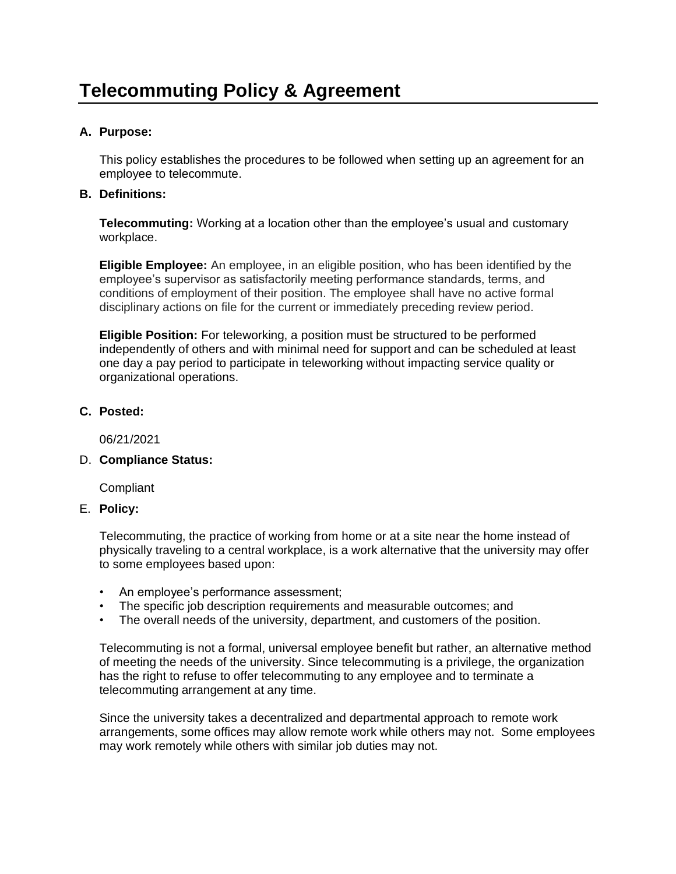## **A. Purpose:**

This policy establishes the procedures to be followed when setting up an agreement for an employee to telecommute.

## **B. Definitions:**

**Telecommuting:** Working at a location other than the employee's usual and customary workplace.

**Eligible Employee:** An employee, in an eligible position, who has been identified by the employee's supervisor as satisfactorily meeting performance standards, terms, and conditions of employment of their position. The employee shall have no active formal disciplinary actions on file for the current or immediately preceding review period.

**Eligible Position:** For teleworking, a position must be structured to be performed independently of others and with minimal need for support and can be scheduled at least one day a pay period to participate in teleworking without impacting service quality or organizational operations.

## **C. Posted:**

06/21/2021

## D. **Compliance Status:**

**Compliant** 

## E. **Policy:**

Telecommuting, the practice of working from home or at a site near the home instead of physically traveling to a central workplace, is a work alternative that the university may offer to some employees based upon:

- An employee's performance assessment;
- The specific job description requirements and measurable outcomes; and
- The overall needs of the university, department, and customers of the position.

Telecommuting is not a formal, universal employee benefit but rather, an alternative method of meeting the needs of the university. Since telecommuting is a privilege, the organization has the right to refuse to offer telecommuting to any employee and to terminate a telecommuting arrangement at any time.

Since the university takes a decentralized and departmental approach to remote work arrangements, some offices may allow remote work while others may not. Some employees may work remotely while others with similar job duties may not.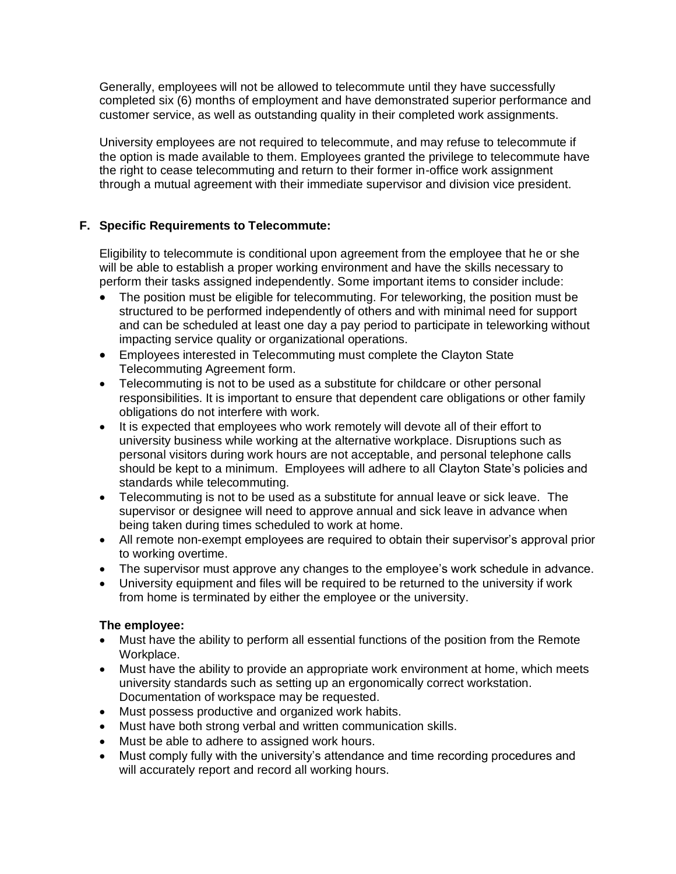Generally, employees will not be allowed to telecommute until they have successfully completed six (6) months of employment and have demonstrated superior performance and customer service, as well as outstanding quality in their completed work assignments.

University employees are not required to telecommute, and may refuse to telecommute if the option is made available to them. Employees granted the privilege to telecommute have the right to cease telecommuting and return to their former in-office work assignment through a mutual agreement with their immediate supervisor and division vice president.

# **F. Specific Requirements to Telecommute:**

Eligibility to telecommute is conditional upon agreement from the employee that he or she will be able to establish a proper working environment and have the skills necessary to perform their tasks assigned independently. Some important items to consider include:

- The position must be eligible for telecommuting. For teleworking, the position must be structured to be performed independently of others and with minimal need for support and can be scheduled at least one day a pay period to participate in teleworking without impacting service quality or organizational operations.
- Employees interested in Telecommuting must complete the Clayton State Telecommuting Agreement form.
- Telecommuting is not to be used as a substitute for childcare or other personal responsibilities. It is important to ensure that dependent care obligations or other family obligations do not interfere with work.
- It is expected that employees who work remotely will devote all of their effort to university business while working at the alternative workplace. Disruptions such as personal visitors during work hours are not acceptable, and personal telephone calls should be kept to a minimum. Employees will adhere to all Clayton State's policies and standards while telecommuting.
- Telecommuting is not to be used as a substitute for annual leave or sick leave. The supervisor or designee will need to approve annual and sick leave in advance when being taken during times scheduled to work at home.
- All remote non-exempt employees are required to obtain their supervisor's approval prior to working overtime.
- The supervisor must approve any changes to the employee's work schedule in advance.
- University equipment and files will be required to be returned to the university if work from home is terminated by either the employee or the university.

# **The employee:**

- Must have the ability to perform all essential functions of the position from the Remote Workplace.
- Must have the ability to provide an appropriate work environment at home, which meets university standards such as setting up an ergonomically correct workstation. Documentation of workspace may be requested.
- Must possess productive and organized work habits.
- Must have both strong verbal and written communication skills.
- Must be able to adhere to assigned work hours.
- Must comply fully with the university's attendance and time recording procedures and will accurately report and record all working hours.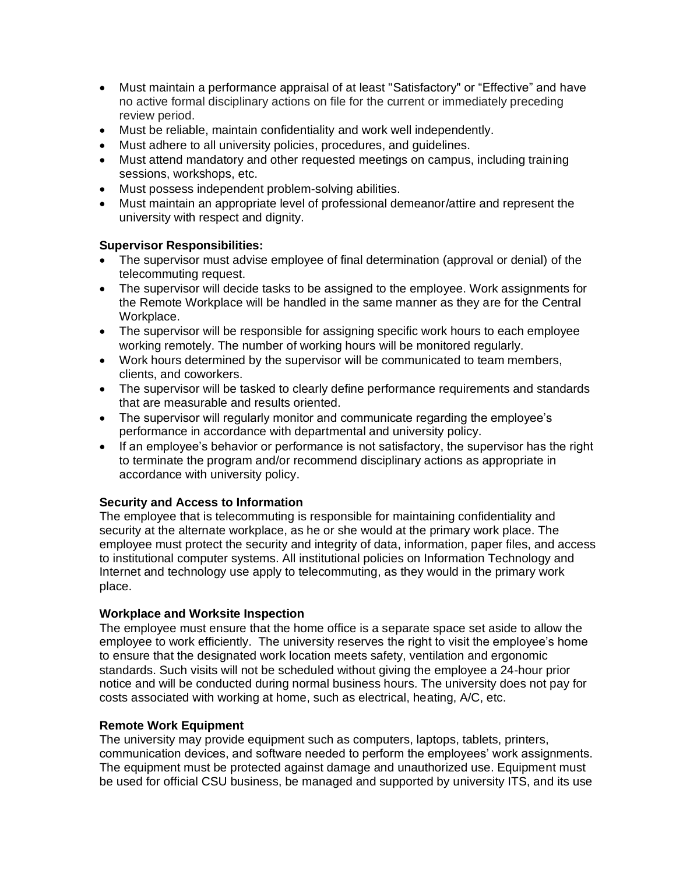- Must maintain a performance appraisal of at least "Satisfactory" or "Effective" and have no active formal disciplinary actions on file for the current or immediately preceding review period.
- Must be reliable, maintain confidentiality and work well independently.
- Must adhere to all university policies, procedures, and guidelines.
- Must attend mandatory and other requested meetings on campus, including training sessions, workshops, etc.
- Must possess independent problem-solving abilities.
- Must maintain an appropriate level of professional demeanor/attire and represent the university with respect and dignity.

## **Supervisor Responsibilities:**

- The supervisor must advise employee of final determination (approval or denial) of the telecommuting request.
- The supervisor will decide tasks to be assigned to the employee. Work assignments for the Remote Workplace will be handled in the same manner as they are for the Central Workplace.
- The supervisor will be responsible for assigning specific work hours to each employee working remotely. The number of working hours will be monitored regularly.
- Work hours determined by the supervisor will be communicated to team members, clients, and coworkers.
- The supervisor will be tasked to clearly define performance requirements and standards that are measurable and results oriented.
- The supervisor will regularly monitor and communicate regarding the employee's performance in accordance with departmental and university policy.
- If an employee's behavior or performance is not satisfactory, the supervisor has the right to terminate the program and/or recommend disciplinary actions as appropriate in accordance with university policy.

## **Security and Access to Information**

The employee that is telecommuting is responsible for maintaining confidentiality and security at the alternate workplace, as he or she would at the primary work place. The employee must protect the security and integrity of data, information, paper files, and access to institutional computer systems. All institutional policies on Information Technology and Internet and technology use apply to telecommuting, as they would in the primary work place.

## **Workplace and Worksite Inspection**

The employee must ensure that the home office is a separate space set aside to allow the employee to work efficiently. The university reserves the right to visit the employee's home to ensure that the designated work location meets safety, ventilation and ergonomic standards. Such visits will not be scheduled without giving the employee a 24-hour prior notice and will be conducted during normal business hours. The university does not pay for costs associated with working at home, such as electrical, heating, A/C, etc.

## **Remote Work Equipment**

The university may provide equipment such as computers, laptops, tablets, printers, communication devices, and software needed to perform the employees' work assignments. The equipment must be protected against damage and unauthorized use. Equipment must be used for official CSU business, be managed and supported by university ITS, and its use